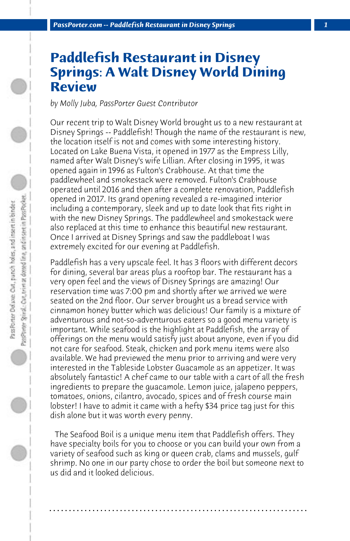## **Paddlefish Restaurant in Disney Springs: A Walt Disney World Dining Review**

*by Molly Juba, PassPorter Guest Contributor*

Our recent trip to Walt Disney World brought us to a new restaurant at Disney Springs -- Paddlefish! Though the name of the restaurant is new, the location itself is not and comes with some interesting history. Located on Lake Buena Vista, it opened in 1977 as the Empress Lilly, named after Walt Disney's wife Lillian. After closing in 1995, it was opened again in 1996 as Fulton's Crabhouse. At that time the paddlewheel and smokestack were removed. Fulton's Crabhouse operated until 2016 and then after a complete renovation, Paddlefish opened in 2017. Its grand opening revealed a re-imagined interior including a contemporary, sleek and up to date look that fits right in with the new Disney Springs. The paddlewheel and smokestack were also replaced at this time to enhance this beautiful new restaurant. Once I arrived at Disney Springs and saw the paddleboat I was extremely excited for our evening at Paddlefish.

Paddlefish has a very upscale feel. It has 3 floors with different decors for dining, several bar areas plus a rooftop bar. The restaurant has a very open feel and the views of Disney Springs are amazing! Our reservation time was 7:00 pm and shortly after we arrived we were seated on the 2nd floor. Our server brought us a bread service with cinnamon honey butter which was delicious! Our family is a mixture of adventurous and not-so-adventurous eaters so a good menu variety is important. While seafood is the highlight at Paddlefish, the array of offerings on the menu would satisfy just about anyone, even if you did not care for seafood. Steak, chicken and pork menu items were also available. We had previewed the menu prior to arriving and were very interested in the Tableside Lobster Guacamole as an appetizer. It was absolutely fantastic! A chef came to our table with a cart of all the fresh ingredients to prepare the guacamole. Lemon juice, jalapeno peppers, tomatoes, onions, cilantro, avocado, spices and of fresh course main lobster! I have to admit it came with a hefty \$34 price tag just for this dish alone but it was worth every penny.

 The Seafood Boil is a unique menu item that Paddlefish offers. They have specialty boils for you to choose or you can build your own from a variety of seafood such as king or queen crab, clams and mussels, gulf shrimp. No one in our party chose to order the boil but someone next to us did and it looked delicious.

**. . . . . . . . . . . . . . . . . . . . . . . . . . . . . . . . . . . . . . . . . . . . . . . . . . . . . . . . . . . . . . . . . .**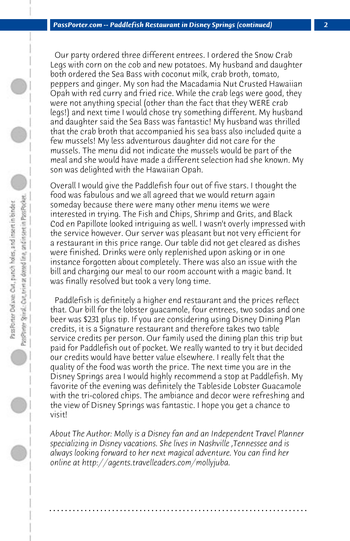Our party ordered three different entrees. I ordered the Snow Crab Legs with corn on the cob and new potatoes. My husband and daughter both ordered the Sea Bass with coconut milk, crab broth, tomato, peppers and ginger. My son had the Macadamia Nut Crusted Hawaiian Opah with red curry and fried rice. While the crab legs were good, they were not anything special (other than the fact that they WERE crab legs!) and next time I would chose try something different. My husband and daughter said the Sea Bass was fantastic! My husband was thrilled that the crab broth that accompanied his sea bass also included quite a few mussels! My less adventurous daughter did not care for the mussels. The menu did not indicate the mussels would be part of the meal and she would have made a different selection had she known. My son was delighted with the Hawaiian Opah.

Overall I would give the Paddlefish four out of five stars. I thought the food was fabulous and we all agreed that we would return again someday because there were many other menu items we were interested in trying. The Fish and Chips, Shrimp and Grits, and Black Cod en Papillote looked intriguing as well. I wasn't overly impressed with the service however. Our server was pleasant but not very efficient for a restaurant in this price range. Our table did not get cleared as dishes were finished. Drinks were only replenished upon asking or in one instance forgotten about completely. There was also an issue with the bill and charging our meal to our room account with a magic band. It was finally resolved but took a very long time.

 Paddlefish is definitely a higher end restaurant and the prices reflect that. Our bill for the lobster guacamole, four entrees, two sodas and one beer was \$231 plus tip. If you are considering using Disney Dining Plan credits, it is a Signature restaurant and therefore takes two table service credits per person. Our family used the dining plan this trip but paid for Paddlefish out of pocket. We really wanted to try it but decided our credits would have better value elsewhere. I really felt that the quality of the food was worth the price. The next time you are in the Disney Springs area I would highly recommend a stop at Paddlefish. My favorite of the evening was definitely the Tableside Lobster Guacamole with the tri-colored chips. The ambiance and decor were refreshing and the view of Disney Springs was fantastic. I hope you get a chance to visit!

*About The Author: Molly is a Disney fan and an Independent Travel Planner specializing in Disney vacations. She lives in Nashville ,Tennessee and is always looking forward to her next magical adventure. You can find her online at http://agents.travelleaders.com/mollyjuba.*

**. . . . . . . . . . . . . . . . . . . . . . . . . . . . . . . . . . . . . . . . . . . . . . . . . . . . . . . . . . . . . . . . . .**